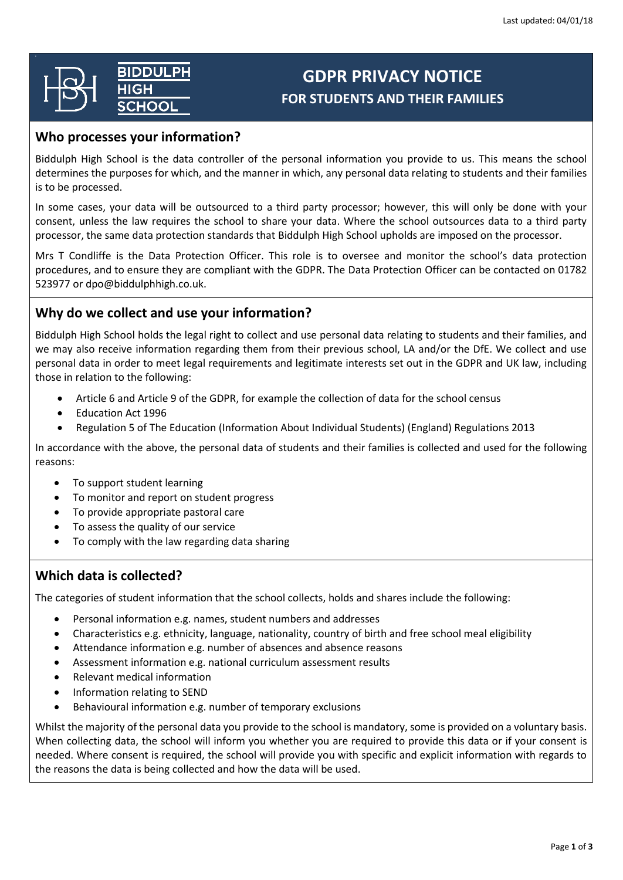# **BIDDULPH**  $\overline{\overline{\mathsf{H}\mathsf{G}\mathsf{H}}}$

# **GDPR PRIVACY NOTICE FOR STUDENTS AND THEIR FAMILIES**

### **Who processes your information?**

Biddulph High School is the data controller of the personal information you provide to us. This means the school determines the purposes for which, and the manner in which, any personal data relating to students and their families is to be processed.

In some cases, your data will be outsourced to a third party processor; however, this will only be done with your consent, unless the law requires the school to share your data. Where the school outsources data to a third party processor, the same data protection standards that Biddulph High School upholds are imposed on the processor.

Mrs T Condliffe is the Data Protection Officer. This role is to oversee and monitor the school's data protection procedures, and to ensure they are compliant with the GDPR. The Data Protection Officer can be contacted on 01782 523977 or dpo@biddulphhigh.co.uk.

### **Why do we collect and use your information?**

Biddulph High School holds the legal right to collect and use personal data relating to students and their families, and we may also receive information regarding them from their previous school, LA and/or the DfE. We collect and use personal data in order to meet legal requirements and legitimate interests set out in the GDPR and UK law, including those in relation to the following:

- Article 6 and Article 9 of the GDPR, for example the collection of data for the school census
- Education Act 1996
- Regulation 5 of The Education (Information About Individual Students) (England) Regulations 2013

In accordance with the above, the personal data of students and their families is collected and used for the following reasons:

- To support student learning
- To monitor and report on student progress
- To provide appropriate pastoral care
- To assess the quality of our service
- To comply with the law regarding data sharing

## **Which data is collected?**

The categories of student information that the school collects, holds and shares include the following:

- Personal information e.g. names, student numbers and addresses
- Characteristics e.g. ethnicity, language, nationality, country of birth and free school meal eligibility
- Attendance information e.g. number of absences and absence reasons
- Assessment information e.g. national curriculum assessment results
- Relevant medical information
- Information relating to SEND
- Behavioural information e.g. number of temporary exclusions

Whilst the majority of the personal data you provide to the school is mandatory, some is provided on a voluntary basis. When collecting data, the school will inform you whether you are required to provide this data or if your consent is needed. Where consent is required, the school will provide you with specific and explicit information with regards to the reasons the data is being collected and how the data will be used.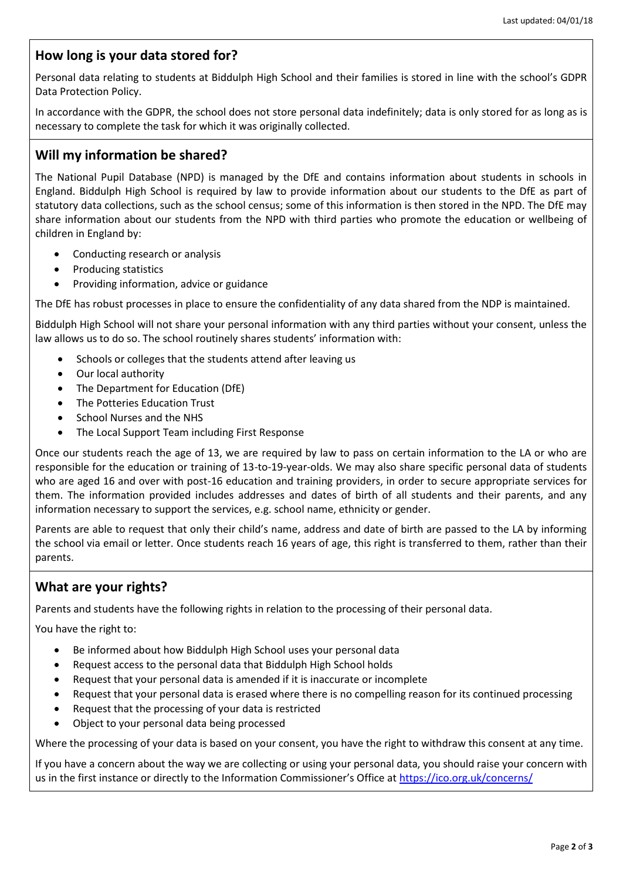#### **How long is your data stored for?**

Personal data relating to students at Biddulph High School and their families is stored in line with the school's GDPR Data Protection Policy.

In accordance with the GDPR, the school does not store personal data indefinitely; data is only stored for as long as is necessary to complete the task for which it was originally collected.

#### **Will my information be shared?**

The National Pupil Database (NPD) is managed by the DfE and contains information about students in schools in England. Biddulph High School is required by law to provide information about our students to the DfE as part of statutory data collections, such as the school census; some of this information is then stored in the NPD. The DfE may share information about our students from the NPD with third parties who promote the education or wellbeing of children in England by:

- Conducting research or analysis
- Producing statistics
- Providing information, advice or guidance

The DfE has robust processes in place to ensure the confidentiality of any data shared from the NDP is maintained.

Biddulph High School will not share your personal information with any third parties without your consent, unless the law allows us to do so. The school routinely shares students' information with:

- Schools or colleges that the students attend after leaving us
- Our local authority
- The Department for Education (DfE)
- The Potteries Education Trust
- School Nurses and the NHS
- The Local Support Team including First Response

Once our students reach the age of 13, we are required by law to pass on certain information to the LA or who are responsible for the education or training of 13-to-19-year-olds. We may also share specific personal data of students who are aged 16 and over with post-16 education and training providers, in order to secure appropriate services for them. The information provided includes addresses and dates of birth of all students and their parents, and any information necessary to support the services, e.g. school name, ethnicity or gender.

Parents are able to request that only their child's name, address and date of birth are passed to the LA by informing the school via email or letter. Once students reach 16 years of age, this right is transferred to them, rather than their parents.

#### **What are your rights?**

Parents and students have the following rights in relation to the processing of their personal data.

You have the right to:

- Be informed about how Biddulph High School uses your personal data
- Request access to the personal data that Biddulph High School holds
- Request that your personal data is amended if it is inaccurate or incomplete
- Request that your personal data is erased where there is no compelling reason for its continued processing
- Request that the processing of your data is restricted
- Object to your personal data being processed

Where the processing of your data is based on your consent, you have the right to withdraw this consent at any time.

If you have a concern about the way we are collecting or using your personal data, you should raise your concern with us in the first instance or directly to the Information Commissioner's Office at <https://ico.org.uk/concerns/>